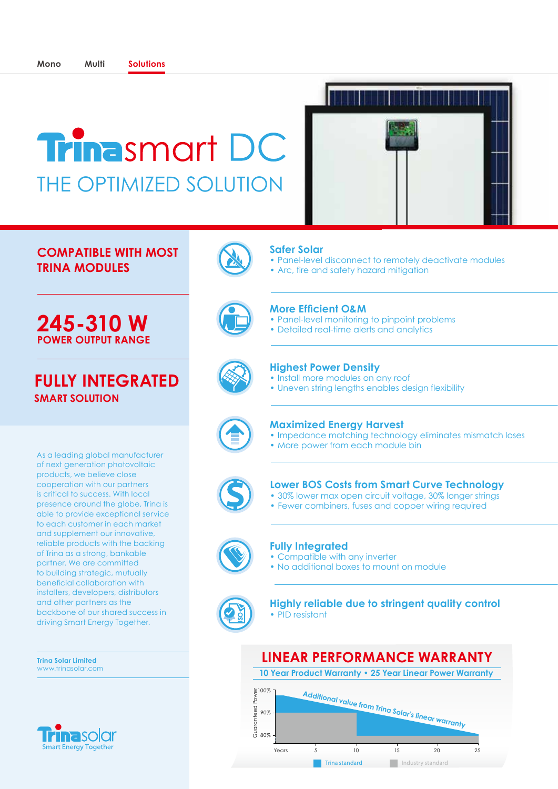## **Trinasmart DC** THE OPTIMIZED SOLUTION

## **COMPATIBLE WITH MOST TRINA MODULES**



## **FULLY INTEGRATED SMART SOLUTION**

As a leading global manufacturer of next generation photovoltaic products, we believe close cooperation with our partners is critical to success. With local presence around the globe, Trina is able to provide exceptional service to each customer in each market and supplement our innovative, reliable products with the backing of Trina as a strong, bankable partner. We are committed to building strategic, mutually beneficial collaboration with installers, developers, distributors and other partners as the backbone of our shared success in driving Smart Energy Together.

**Trina Solar Limited** www.trinasolar.com





## **Safer Solar**

• Panel-level disconnect to remotely deactivate modules

i awana san ay tarihi ga bay ta

• Arc, fire and safety hazard mitigation



## **More Efficient O&M**

- Panel-level monitoring to pinpoint problems
- Detailed real-time alerts and analytics



## **Highest Power Density**

- Install more modules on any roof
- Uneven string lengths enables design flexibility



## **Maximized Energy Harvest**

- Impedance matching technology eliminates mismatch loses
- More power from each module bin



## **Lower BOS Costs from Smart Curve Technology**

- 30% lower max open circuit voltage, 30% longer strings
- Fewer combiners, fuses and copper wiring required



#### **Fully Integrated**

- Compatible with any inverter
- No additional boxes to mount on module



**Highly reliable due to stringent quality control**  • PID resistant

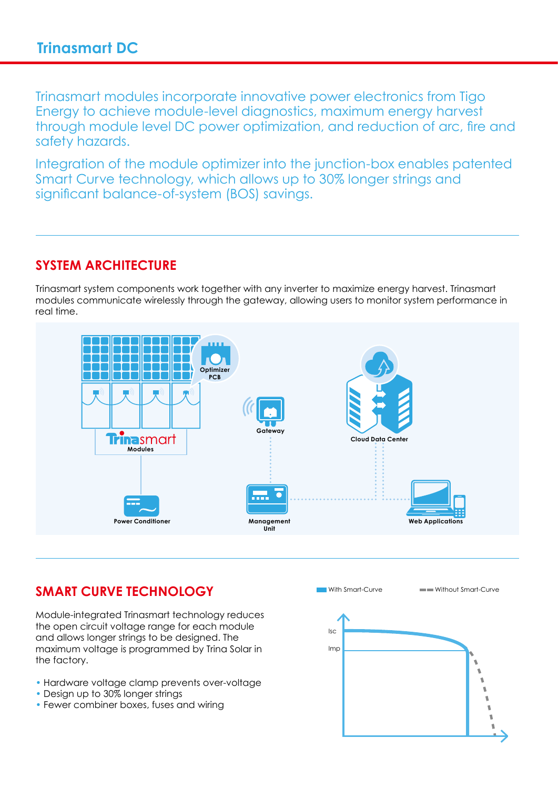Trinasmart modules incorporate innovative power electronics from Tigo Energy to achieve module-level diagnostics, maximum energy harvest through module level DC power optimization, and reduction of arc, fire and safety hazards.

Integration of the module optimizer into the junction-box enables patented Smart Curve technology, which allows up to 30% longer strings and significant balance-of-system (BOS) savings.

## **SYSTEM ARCHITECTURE**

Trinasmart system components work together with any inverter to maximize energy harvest. Trinasmart modules communicate wirelessly through the gateway, allowing users to monitor system performance in real time.



## **SMART CURVE TECHNOLOGY**

Module-integrated Trinasmart technology reduces the open circuit voltage range for each module and allows longer strings to be designed. The maximum voltage is programmed by Trina Solar in the factory.

- Hardware voltage clamp prevents over-voltage
- Design up to 30% longer strings
- Fewer combiner boxes, fuses and wiring

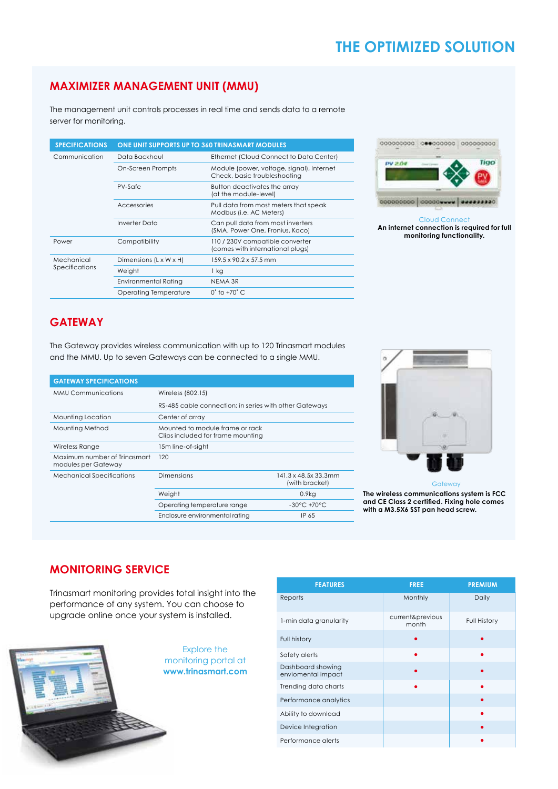## **THE OPTIMIZED SOLUTION**

## **MAXIMIZER MANAGEMENT UNIT (MMU)**

The management unit controls processes in real time and sends data to a remote server for monitoring.

| <b>SPECIFICATIONS</b> | ONE UNIT SUPPORTS UP TO 360 TRINASMART MODULES |                                                                           |  |  |
|-----------------------|------------------------------------------------|---------------------------------------------------------------------------|--|--|
| Communication         | Data Backhaul                                  | Ethernet (Cloud Connect to Data Center)                                   |  |  |
|                       | On-Screen Prompts                              | Module (power, voltage, signal), Internet<br>Check, basic troubleshooting |  |  |
|                       | PV-Safe                                        | Button deactivates the array<br>(at the module-level)                     |  |  |
|                       | Accessories                                    | Pull data from most meters that speak<br>Modbus (i.e. AC Meters)          |  |  |
|                       | Inverter Data                                  | Can pull data from most inverters<br>(SMA, Power One, Fronius, Kaco)      |  |  |
| Power                 | Compatibility                                  | 110 / 230V compatible converter<br>(comes with international plugs)       |  |  |
| Mechanical            | Dimensions (L x W x H)                         | $159.5 \times 90.2 \times 57.5$ mm                                        |  |  |
| Specifications        | Weight                                         | 1 kg                                                                      |  |  |
|                       | Environmental Rating                           | NEMA 3R                                                                   |  |  |
|                       | Operating Temperature                          | $0^\circ$ to $+70^\circ$ C.                                               |  |  |





Cloud Connect **An internet connection is required for full monitoring functionality.**

## **GATEWAY**

The Gateway provides wireless communication with up to 120 Trinasmart modules and the MMU. Up to seven Gateways can be connected to a single MMU.

| <b>GATEWAY SPECIFICATIONS</b>                       |                                                                      |                                                             |  |
|-----------------------------------------------------|----------------------------------------------------------------------|-------------------------------------------------------------|--|
| <b>MMU Communications</b>                           | Wireless (802.15)                                                    |                                                             |  |
|                                                     | RS-485 cable connection; in series with other Gateways               |                                                             |  |
| Mounting Location                                   | Center of array                                                      |                                                             |  |
| Mounting Method                                     | Mounted to module frame or rack<br>Clips included for frame mounting |                                                             |  |
| Wireless Range                                      | 15m line-of-sight                                                    |                                                             |  |
| Maximum number of Trinasmart<br>modules per Gateway | 120                                                                  |                                                             |  |
| <b>Mechanical Specifications</b>                    | Dimensions                                                           | $141.3 \times 48.5 \times 33.3 \text{mm}$<br>(with bracket) |  |
|                                                     | Weight                                                               | $0.9k$ g                                                    |  |
|                                                     | Operating temperature range                                          | $-30^{\circ}$ C $+70^{\circ}$ C                             |  |
|                                                     | Enclosure environmental rating                                       | IP 65                                                       |  |



**Gateway** 

**The wireless communications system is FCC and CE Class 2 certified. Fixing hole comes with a M3.5X6 SST pan head screw.**

## **MONITORING SERVICE**

Trinasmart monitoring provides total insight into the performance of any system. You can choose to upgrade online once your system is installed.



| <b>FEATURES</b>                         | <b>FREE</b>               | <b>PREMIUM</b> |
|-----------------------------------------|---------------------------|----------------|
| Reports                                 | Monthly                   | Daily          |
| 1-min data granularity                  | current&previous<br>month | Full History   |
| Full history                            |                           |                |
| Safety alerts                           |                           |                |
| Dashboard showing<br>enviomental impact |                           |                |
| Trending data charts                    |                           |                |
| Performance analytics                   |                           |                |
| Ability to download                     |                           |                |
| Device Integration                      |                           |                |
| Performance alerts                      |                           |                |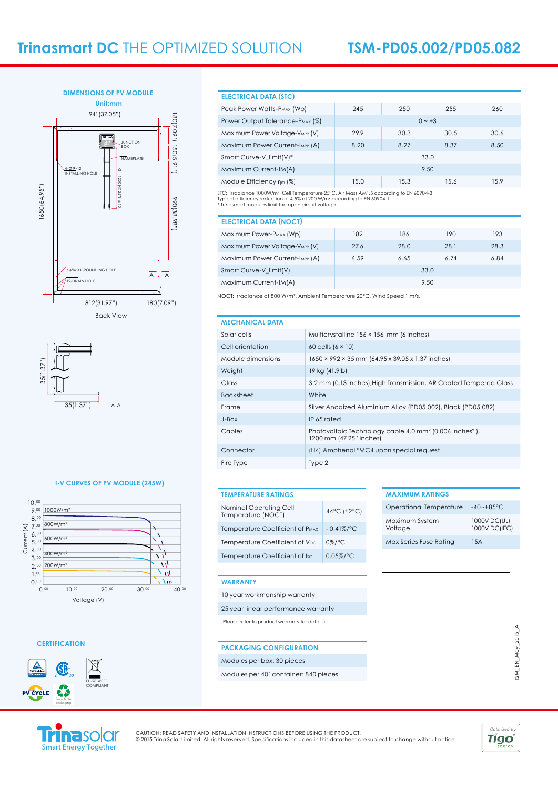



#### **I-V CURVES OF PV MODULE (245W)**



#### **CERTIFICATION**



#### **ELECTRICAL DATA (STC)**

| Peak Power Watts-P <sub>MAX</sub> (Wp)                                                             | 245  | 250  | 255      | 260  |
|----------------------------------------------------------------------------------------------------|------|------|----------|------|
| Power Output Tolerance-P <sub>MAX</sub> (%)                                                        |      |      | $0 - +3$ |      |
| Maximum Power Voltage-VMPP (V)                                                                     | 29.9 | 30.3 | 30.5     | 30.6 |
| Maximum Power Current-Impp (A)                                                                     | 8.20 | 8.27 | 8.37     | 8.50 |
| Smart Curve-V limit(V)*                                                                            |      |      | 33.0     |      |
| Maximum Current-IM(A)                                                                              | 9.50 |      |          |      |
| Module Efficiency $n_m$ (%)                                                                        | 15.0 | 15.3 | 15.6     | 15.9 |
| STC: Irradiance 1000W/m <sup>2</sup> Cell Temperature 25°C. Air Mass AM1.5 according to EN 60904-3 |      |      |          |      |

STC: Irradiance 1000W/m², Cell Temperature 25°C, Air Mass AM1.5 according to EN 60904-3<br>Typical efficiency reduction of 4.5% at 200 W/mª according to EN 60904-1<br>\* Trinasmart modules limit the open circuit voltage

| <b>ELECTRICAL DATA (NOCT)</b>       |      |      |      |      |
|-------------------------------------|------|------|------|------|
| Maximum Power-P <sub>MAX</sub> (Wp) | 182  | 186  | 190  | 193  |
| Maximum Power Voltage-VMPP (V)      | 27.6 | 28.0 | 28.1 | 28.3 |
| Maximum Power Current-IMPP (A)      | 6.59 | 6.65 | 6.74 | 6.84 |
| Smart Curve-V limit(V)<br>33.0      |      |      |      |      |
| Maximum Current-IM(A)<br>9.50       |      |      |      |      |

NOCT: Irradiance at 800 W/m², Ambient Temperature 20°C, Wind Speed 1 m/s.

#### **MECHANICAL DATA**

| MLYHANIYAL PAIA   |                                                                                                            |
|-------------------|------------------------------------------------------------------------------------------------------------|
| Solar cells       | Multicrystalline 156 × 156 mm (6 inches)                                                                   |
| Cell orientation  | 60 cells $(6 \times 10)$                                                                                   |
| Module dimensions | 1650 × 992 × 35 mm (64.95 x 39.05 x 1.37 inches)                                                           |
| Weight            | 19 kg (41.9lb)                                                                                             |
| Glass             | 3.2 mm (0.13 inches), High Transmission, AR Coated Tempered Glass                                          |
| <b>Backsheet</b>  | White                                                                                                      |
| Frame             | Silver Anodized Aluminium Alloy (PD05.002), Black (PD05.082)                                               |
| J-Box             | IP 65 rated                                                                                                |
| Cables            | Photovoltaic Technology cable 4.0 mm <sup>2</sup> (0.006 inches <sup>2</sup> ),<br>1200 mm (47.25" inches) |
| Connector         | (H4) Amphenol *MC4 upon special request                                                                    |
| Fire Type         | Type 2                                                                                                     |

#### **TEMPERATURE RATINGS**

| Nominal Operating Cell<br>Temperature (NOCT) | 44°C (±2°C)   |
|----------------------------------------------|---------------|
| Temperature Coefficient of P <sub>MAX</sub>  | $-0.41\%$ /°C |
| Temperature Coefficient of Voc               | $0\%$ /°C     |
| Temperature Coefficient of Isc               | $0.05\%$ /°C  |

#### **MAXIMUM RATINGS**

| Operational Temperature   | $-40$ ~ $+8.5$ ° C.           |
|---------------------------|-------------------------------|
| Maximum System<br>Voltage | 1000V DC(UL)<br>1000V DC(IEC) |
| Max Series Fuse Rating    | 1.5A                          |

#### **WARRANTY**

- 10 year workmanship warranty 25 year linear performance warranty
- (Please refer to product warranty for details)

#### **PACKAGING CONFIGURATION**

#### Modules per box: 30 pieces

Modules per 40' container: 840 pieces

# ISM EN May 2015 A TSM\_EN\_May\_2015\_A



CAUTION: READ SAFETY AND INSTALLATION INSTRUCTIONS BEFORE USING THE PRODUCT.<br>© 2015 Trina Solar Limited. All rights reserved. Specifications included in this datasheet are subject to change without notice.